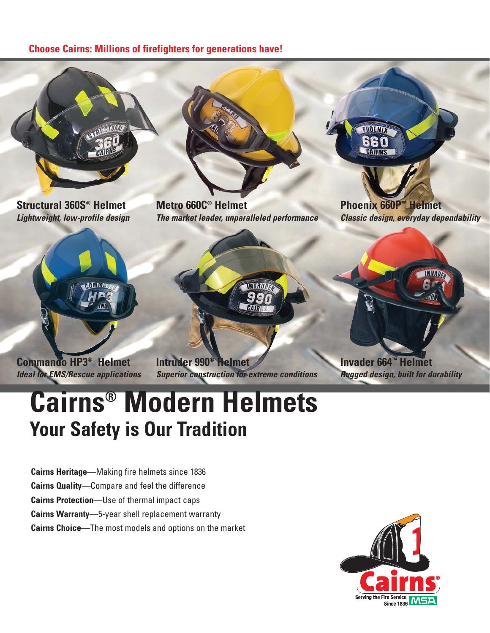#### **Choose Cairns: Millions of firefighters for generations have!**



# **Cairns® Modern Helmets Your Safety is Our Tradition**

**Cairns Heritage**—Making fire helmets since 1836 **Cairns Quality**—Compare and feel the difference **Cairns Protection**—Use of thermal impact caps **Cairns Warranty**—5-year shell replacement warranty **Cairns Choice**—The most models and options on the market

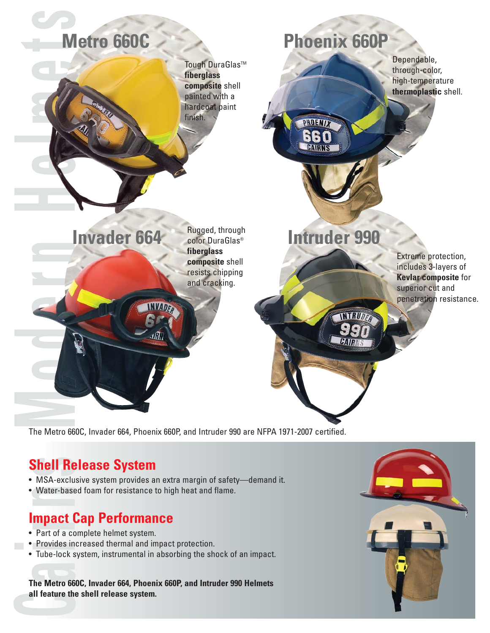

The Metro 660C, Invader 664, Phoenix 660P, and Intruder 990 are NFPA 1971-2007 certified.

- MSA-exclusive system provides an extra margin of safety—demand it.
- Water-based foam for resistance to high heat and flame.

### **Impact Cap Performance**

- Part of a complete helmet system.
- Provides increased thermal and impact protection.
- Tube-lock system, instrumental in absorbing the shock of an impact.

**The Metro 660C, Invader 664, Phoenix 660P, and Intruder 990 Helmets all feature the shell release system.**

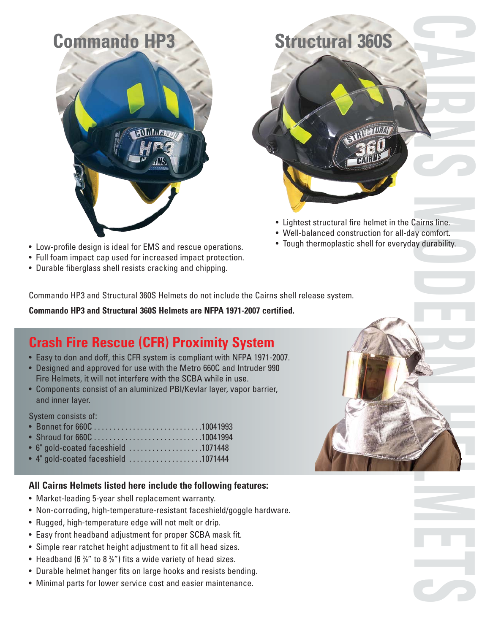



- Lightest structural fire helmet in the Cairns line.
- Well-balanced construction for all-day comfort.
- Tough thermoplastic shell for everyday durability.
- Low-profile design is ideal for EMS and rescue operations.
- Full foam impact cap used for increased impact protection.
- Durable fiberglass shell resists cracking and chipping.

Commando HP3 and Structural 360S Helmets do not include the Cairns shell release system.

**Commando HP3 and Structural 360S Helmets are NFPA 1971-2007 certified.**

## **Crash Fire Rescue (CFR) Proximity System**

- Easy to don and doff, this CFR system is compliant with NFPA 1971-2007.
- Designed and approved for use with the Metro 660C and Intruder 990 Fire Helmets, it will not interfere with the SCBA while in use.
- Components consist of an aluminized PBI/Kevlar layer, vapor barrier, and inner layer.

System consists of:

- Bonnet for 660C . . . . . . . . . . . . . . . . . . . . . . . . . . . .10041993
- Shroud for 660C . . . . . . . . . . . . . . . . . . . . . . . . . . . .10041994
- 6" gold-coated faceshield . . . . . . . . . . . . . . . . . . .1071448
- 4" gold-coated faceshield . . . . . . . . . . . . . . . . . . .1071444

#### **All Cairns Helmets listed here include the following features:**

- Market-leading 5-year shell replacement warranty.
- Non-corroding, high-temperature-resistant faceshield/goggle hardware.
- Rugged, high-temperature edge will not melt or drip.
- Easy front headband adjustment for proper SCBA mask fit.
- Simple rear ratchet height adjustment to fit all head sizes.
- Headband (6 <sup>3/6</sup> " to 8 <sup>3/6</sup>") fits a wide variety of head sizes.
- Durable helmet hanger fits on large hooks and resists bending.
- Minimal parts for lower service cost and easier maintenance.